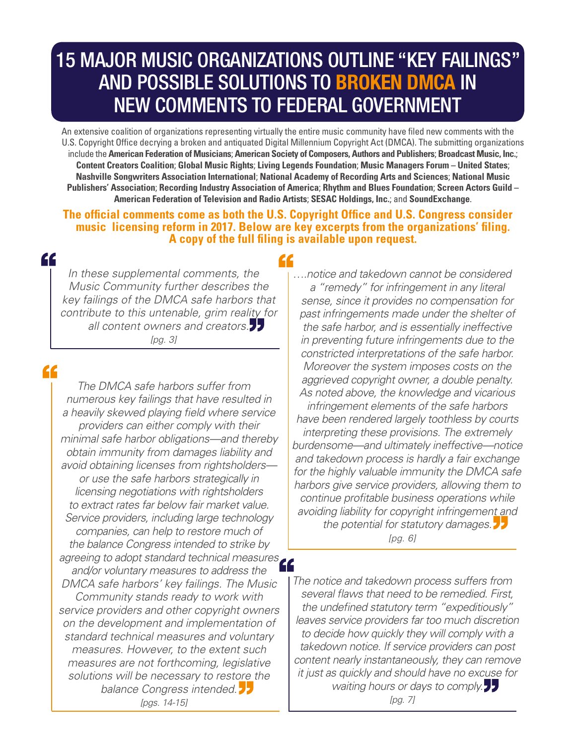# 15 MAJOR MUSIC ORGANIZATIONS OUTLINE "KEY FAILINGS" AND POSSIBLE SOLUTIONS TO BROKEN DMCA IN NEW COMMENTS TO FEDERAL GOVERNMENT

An extensive coalition of organizations representing virtually the entire music community have filed new comments with the U.S. Copyright Office decrying a broken and antiquated Digital Millennium Copyright Act (DMCA). The submitting organizations include the **American Federation of Musicians**; **American Society of Composers, Authors and Publishers**; **Broadcast Music, Inc.**; **Content Creators Coalition**; **Global Music Rights**; **Living Legends Foundation**; **Music Managers Forum – United States**; **Nashville Songwriters Association International**; **National Academy of Recording Arts and Sciences**; **National Music Publishers' Association**; **Recording Industry Association of America**; **Rhythm and Blues Foundation**; **Screen Actors Guild – American Federation of Television and Radio Artists**; **SESAC Holdings, Inc.**; and **SoundExchange**.

**The official comments come as both the U.S. Copyright Office and U.S. Congress consider music licensing reform in 2017. Below are key excerpts from the organizations' filing. A copy of the full filing is available upon request.** 

#### "

*In these supplemental comments, the Music Community further describes the key failings of the DMCA safe harbors that contribute to this untenable, grim reality for all content owners and creators. [pg. 3]*

### "

*The DMCA safe harbors suffer from numerous key failings that have resulted in a heavily skewed playing field where service providers can either comply with their minimal safe harbor obligations—and thereby obtain immunity from damages liability and avoid obtaining licenses from rightsholders or use the safe harbors strategically in licensing negotiations with rightsholders to extract rates far below fair market value. Service providers, including large technology companies, can help to restore much of the balance Congress intended to strike by agreeing to adopt standard technical measures and/or voluntary measures to address the DMCA safe harbors' key failings. The Music Community stands ready to work with service providers and other copyright owners on the development and implementation of standard technical measures and voluntary measures. However, to the extent such measures are not forthcoming, legislative solutions will be necessary to restore the balance Congress intended. [pgs. 14-15]*

#### 44

*….notice and takedown cannot be considered a "remedy" for infringement in any literal sense, since it provides no compensation for past infringements made under the shelter of the safe harbor, and is essentially ineffective in preventing future infringements due to the constricted interpretations of the safe harbor. Moreover the system imposes costs on the aggrieved copyright owner, a double penalty. As noted above, the knowledge and vicarious infringement elements of the safe harbors have been rendered largely toothless by courts interpreting these provisions. The extremely burdensome—and ultimately ineffective—notice and takedown process is hardly a fair exchange for the highly valuable immunity the DMCA safe harbors give service providers, allowing them to continue profitable business operations while avoiding liability for copyright infringement and the potential for statutory damages. [pg. 6]*

*The notice and takedown process suffers from several flaws that need to be remedied. First, the undefined statutory term "expeditiously" leaves service providers far too much discretion to decide how quickly they will comply with a takedown notice. If service providers can post content nearly instantaneously, they can remove it just as quickly and should have no excuse for waiting hours or days to comply. [pg. 7]*